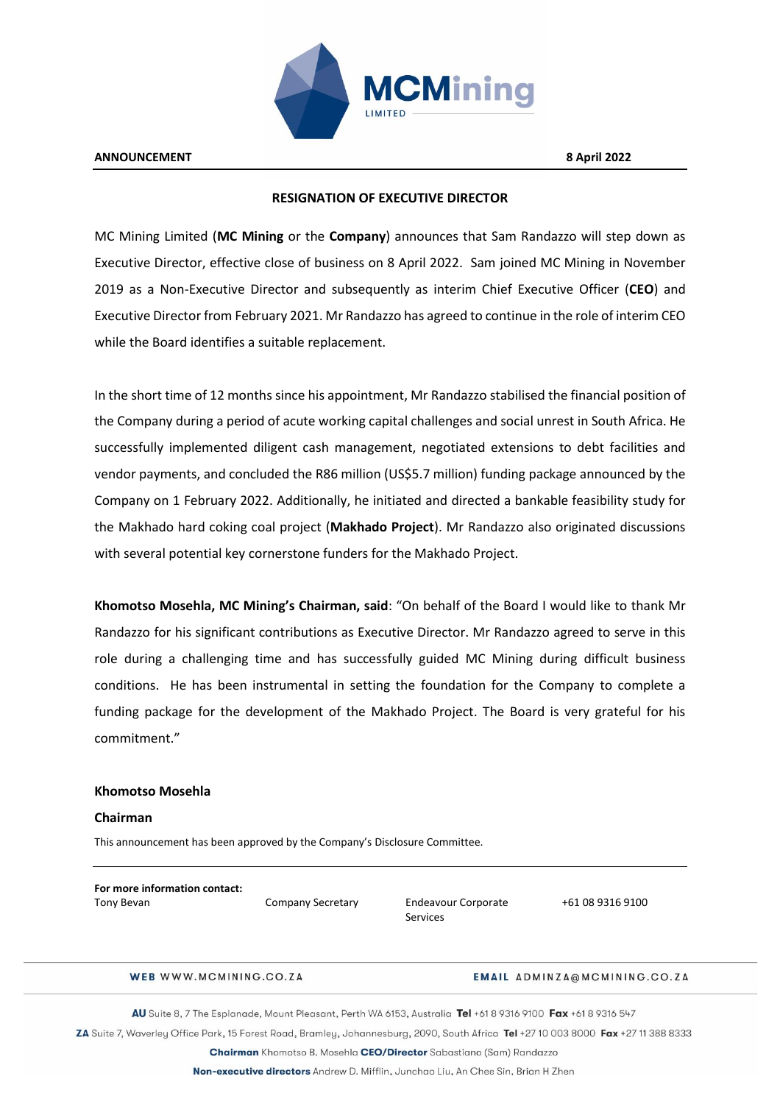

# **RESIGNATION OF EXECUTIVE DIRECTOR**

MC Mining Limited (**MC Mining** or the **Company**) announces that Sam Randazzo will step down as Executive Director, effective close of business on 8 April 2022. Sam joined MC Mining in November 2019 as a Non-Executive Director and subsequently as interim Chief Executive Officer (**CEO**) and Executive Director from February 2021. Mr Randazzo has agreed to continue in the role of interim CEO while the Board identifies a suitable replacement.

In the short time of 12 months since his appointment, Mr Randazzo stabilised the financial position of the Company during a period of acute working capital challenges and social unrest in South Africa. He successfully implemented diligent cash management, negotiated extensions to debt facilities and vendor payments, and concluded the R86 million (US\$5.7 million) funding package announced by the Company on 1 February 2022. Additionally, he initiated and directed a bankable feasibility study for the Makhado hard coking coal project (**Makhado Project**). Mr Randazzo also originated discussions with several potential key cornerstone funders for the Makhado Project.

**Khomotso Mosehla, MC Mining's Chairman, said**: "On behalf of the Board I would like to thank Mr Randazzo for his significant contributions as Executive Director. Mr Randazzo agreed to serve in this role during a challenging time and has successfully guided MC Mining during difficult business conditions. He has been instrumental in setting the foundation for the Company to complete a funding package for the development of the Makhado Project. The Board is very grateful for his commitment."

### **Khomotso Mosehla**

## **Chairman**

This announcement has been approved by the Company's Disclosure Committee.

| For more information contact: |                          |
|-------------------------------|--------------------------|
| Tony Bevan                    | <b>Company Secretary</b> |

Endeavour Corporate Services

+61 08 9316 9100

WEB WWW.MCMINING.CO.ZA

#### **EMAIL ADMINZA@MCMINING.CO.ZA**

AU Suite 8, 7 The Esplanade, Mount Pleasant, Perth WA 6153, Australia Tel +61 8 9316 9100 Fax +61 8 9316 547

ZA Suite 7, Waverley Office Park, 15 Forest Road, Bramley, Johannesburg, 2090, South Africa Tel +27 10 003 8000 Fax +27 11 388 8333

Chairman Khomotso B. Mosehla CEO/Director Sabastiano (Sam) Randazzo

Non-executive directors Andrew D. Mifflin, Junchao Liu, An Chee Sin, Brian H Zhen